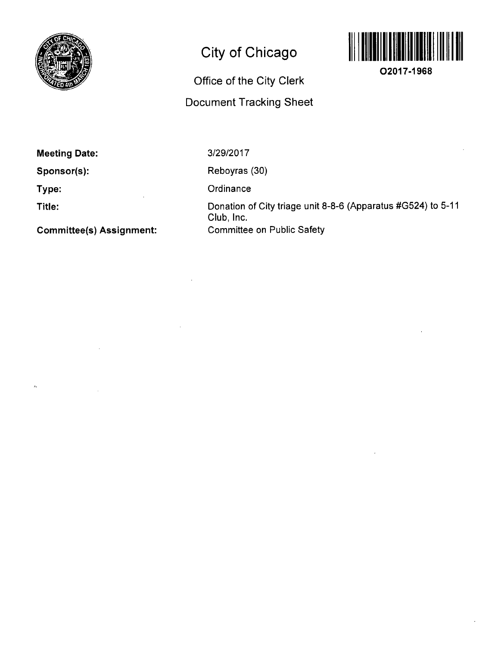

# **City of Chicago**



**02017-1968** 

## **Office of the City Clerk Document Tracking Sheet**

## **Meeting Date:**

**Sponsor(s):** 

**Type:** 

**Title:** 

 $\lambda$ 

**Committee(s) Assignment:** 

### 3/29/2017

Reboyras (30)

**Ordinance** 

Donation of City triage unit 8-8-6 (Apparatus #G524) to 5-11 Club, Inc. Committee on Public Safety